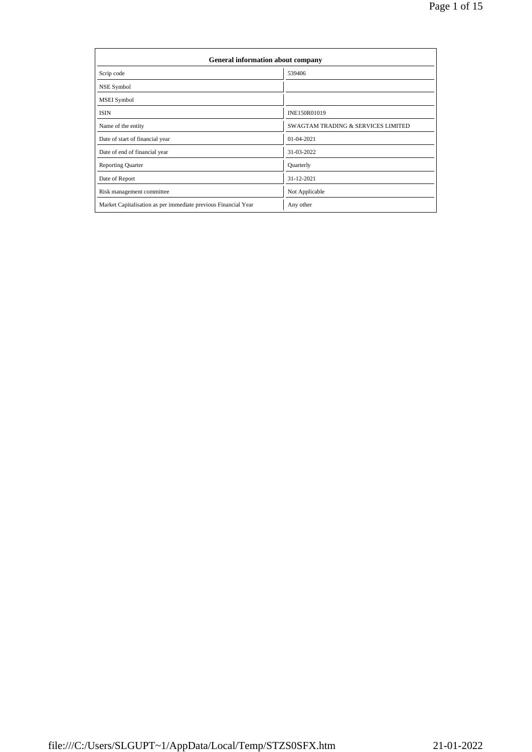| General information about company                              |                                               |
|----------------------------------------------------------------|-----------------------------------------------|
| Scrip code                                                     | 539406                                        |
| NSE Symbol                                                     |                                               |
| MSEI Symbol                                                    |                                               |
| <b>ISIN</b>                                                    | INE150R01019                                  |
| Name of the entity                                             | <b>SWAGTAM TRADING &amp; SERVICES LIMITED</b> |
| Date of start of financial year                                | 01-04-2021                                    |
| Date of end of financial year                                  | 31-03-2022                                    |
| <b>Reporting Quarter</b>                                       | Quarterly                                     |
| Date of Report                                                 | 31-12-2021                                    |
| Risk management committee                                      | Not Applicable                                |
| Market Capitalisation as per immediate previous Financial Year | Any other                                     |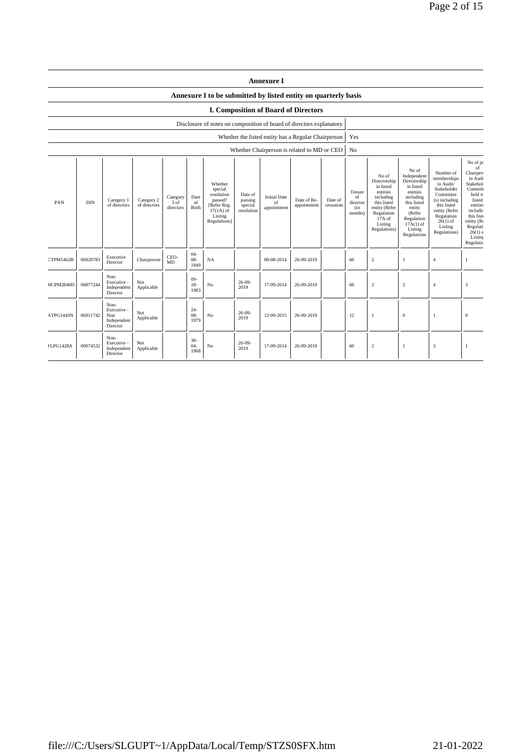|                  |            |                                                       |                            |                                 |                          |                                                                                                      |                                             | <b>Annexure I</b>                                   |                            |                      |                                            |                                                                                                                                                |                                                                                                                                                                      |                                                                                                                                                                           |                                                                                                                                                                                              |
|------------------|------------|-------------------------------------------------------|----------------------------|---------------------------------|--------------------------|------------------------------------------------------------------------------------------------------|---------------------------------------------|-----------------------------------------------------|----------------------------|----------------------|--------------------------------------------|------------------------------------------------------------------------------------------------------------------------------------------------|----------------------------------------------------------------------------------------------------------------------------------------------------------------------|---------------------------------------------------------------------------------------------------------------------------------------------------------------------------|----------------------------------------------------------------------------------------------------------------------------------------------------------------------------------------------|
|                  |            |                                                       |                            |                                 |                          | Annexure I to be submitted by listed entity on quarterly basis                                       |                                             |                                                     |                            |                      |                                            |                                                                                                                                                |                                                                                                                                                                      |                                                                                                                                                                           |                                                                                                                                                                                              |
|                  |            |                                                       |                            |                                 |                          |                                                                                                      |                                             | <b>I. Composition of Board of Directors</b>         |                            |                      |                                            |                                                                                                                                                |                                                                                                                                                                      |                                                                                                                                                                           |                                                                                                                                                                                              |
|                  |            |                                                       |                            |                                 |                          | Disclosure of notes on composition of board of directors explanatory                                 |                                             |                                                     |                            |                      |                                            |                                                                                                                                                |                                                                                                                                                                      |                                                                                                                                                                           |                                                                                                                                                                                              |
|                  |            |                                                       |                            |                                 |                          |                                                                                                      |                                             | Whether the listed entity has a Regular Chairperson |                            |                      | Yes                                        |                                                                                                                                                |                                                                                                                                                                      |                                                                                                                                                                           |                                                                                                                                                                                              |
|                  |            |                                                       |                            |                                 |                          |                                                                                                      |                                             | Whether Chairperson is related to MD or CEO         |                            |                      | N <sub>o</sub>                             |                                                                                                                                                |                                                                                                                                                                      |                                                                                                                                                                           |                                                                                                                                                                                              |
| PAN              | <b>DIN</b> | Category 1<br>of directors                            | Category 2<br>of directors | Category<br>$3$ of<br>directors | Date<br>of<br>Birth      | Whether<br>special<br>resolution<br>passed?<br>[Refer Reg.<br>$17(1A)$ of<br>Listing<br>Regulations] | Date of<br>passing<br>special<br>resolution | <b>Initial Date</b><br>of<br>appointment            | Date of Re-<br>appointment | Date of<br>cessation | Tenure<br>of<br>director<br>(in<br>months) | No of<br>Directorship<br>in listed<br>entities<br>including<br>this listed<br>entity (Refer<br>Regulation<br>17A of<br>Listing<br>Regulations) | No of<br>Independent<br>Directorship<br>in listed<br>entities<br>including<br>this listed<br>entity<br>(Refer<br>Regulation<br>$17A(1)$ of<br>Listing<br>Regulations | Number of<br>memberships<br>in Audit/<br>Stakeholder<br>Committee<br>(s) including<br>this listed<br>entity (Refer<br>Regulation<br>$26(1)$ of<br>Listing<br>Regulations) | No of po<br>of<br><b>Chairper:</b><br>in Audi<br>Stakehol<br>Commit<br>held ir<br>listed<br>entitie:<br>includir<br>this list<br>entity (Re<br>Regulati<br>$26(1)$ c<br>Listing<br>Regulatio |
| CTPM1462B        | 06928783   | Executive<br>Director                                 | Chairperson                | CEO-<br>MD                      | $04 -$<br>$08 -$<br>1949 | NA                                                                                                   |                                             | 08-08-2014                                          | 26-09-2019                 |                      | 60                                         | $\sqrt{2}$                                                                                                                                     | $\mathbf{1}$                                                                                                                                                         | $\overline{4}$                                                                                                                                                            | $\mathbf{1}$                                                                                                                                                                                 |
| HCPM2840D        | 06877244   | Non-<br>Executive -<br>Independent<br>Director        | Not<br>Applicable          |                                 | $09 -$<br>$10-$<br>1983  | No                                                                                                   | $26-09-$<br>2019                            | 17-09-2014                                          | 26-09-2019                 |                      | 60                                         | $\overline{c}$                                                                                                                                 | $\overline{2}$                                                                                                                                                       | $\overline{4}$                                                                                                                                                            | 3                                                                                                                                                                                            |
| ATPG1443N        | 06911742   | Non-<br>Executive -<br>Non<br>Independent<br>Director | Not<br>Applicable          |                                 | $24 -$<br>$08 -$<br>1979 | No                                                                                                   | $26 - 09 -$<br>2019                         | 12-09-2015                                          | 26-09-2019                 |                      | 12                                         | $\mathbf{1}$                                                                                                                                   | $\boldsymbol{0}$                                                                                                                                                     | $\mathbf{1}$                                                                                                                                                              | $\mathbf{0}$                                                                                                                                                                                 |
| <b>FLPG1428A</b> | 00074532   | Non-<br>Executive -<br>Independent<br>Director        | Not<br>Applicable          |                                 | $30 -$<br>$04 -$<br>1968 | N <sub>o</sub>                                                                                       | $26 - 09 -$<br>2019                         | 17-09-2014                                          | 26-09-2019                 |                      | 60                                         | $\overline{c}$                                                                                                                                 | $\mathbf{1}$                                                                                                                                                         | 3                                                                                                                                                                         |                                                                                                                                                                                              |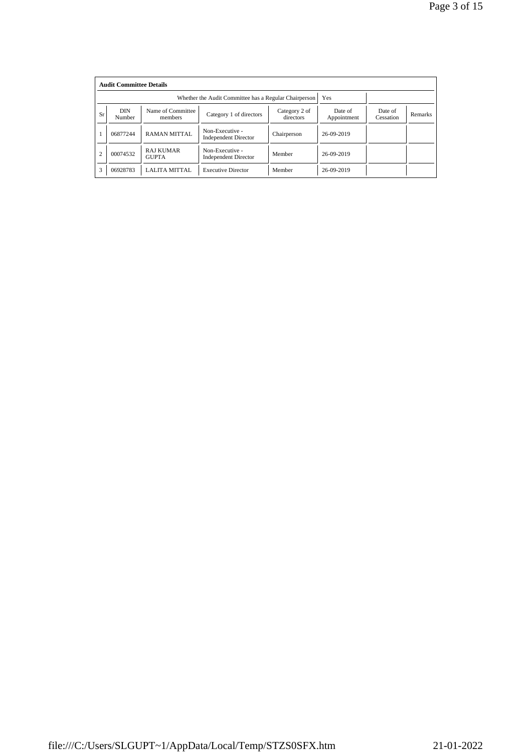|                | <b>Audit Committee Details</b> |                                                       |                                                |                            |                        |                      |                |
|----------------|--------------------------------|-------------------------------------------------------|------------------------------------------------|----------------------------|------------------------|----------------------|----------------|
|                |                                | Whether the Audit Committee has a Regular Chairperson | Yes                                            |                            |                        |                      |                |
| Sr             | <b>DIN</b><br>Number           | Name of Committee<br>members                          | Category 1 of directors                        | Category 2 of<br>directors | Date of<br>Appointment | Date of<br>Cessation | <b>Remarks</b> |
|                | 06877244                       | <b>RAMAN MITTAL</b>                                   | Non-Executive -<br><b>Independent Director</b> | Chairperson                | 26-09-2019             |                      |                |
| $\overline{2}$ | 00074532                       | <b>RAJ KUMAR</b><br><b>GUPTA</b>                      | Non-Executive -<br><b>Independent Director</b> | Member                     | 26-09-2019             |                      |                |
| 3              | 06928783                       | LALITA MITTAL                                         | <b>Executive Director</b>                      | Member                     | 26-09-2019             |                      |                |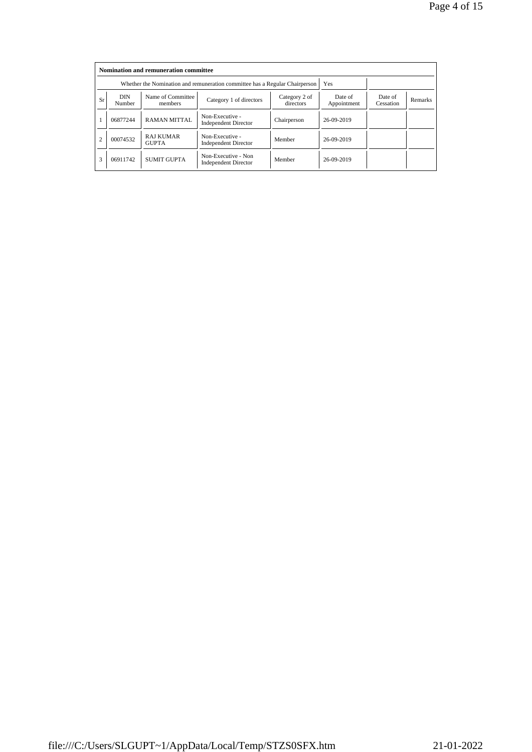|                |                      |                                  | Whether the Nomination and remuneration committee has a Regular Chairperson |                            | Yes                    |                      |                |
|----------------|----------------------|----------------------------------|-----------------------------------------------------------------------------|----------------------------|------------------------|----------------------|----------------|
| Sr             | <b>DIN</b><br>Number | Name of Committee<br>members     | Category 1 of directors                                                     | Category 2 of<br>directors | Date of<br>Appointment | Date of<br>Cessation | <b>Remarks</b> |
|                | 06877244             | <b>RAMAN MITTAL</b>              | Non-Executive -<br><b>Independent Director</b>                              | Chairperson                | 26-09-2019             |                      |                |
| $\overline{2}$ | 00074532             | <b>RAJ KUMAR</b><br><b>GUPTA</b> | Non-Executive -<br><b>Independent Director</b>                              | Member                     | 26-09-2019             |                      |                |
| 3              | 06911742             | <b>SUMIT GUPTA</b>               | Non-Executive - Non<br><b>Independent Director</b>                          | Member                     | 26-09-2019             |                      |                |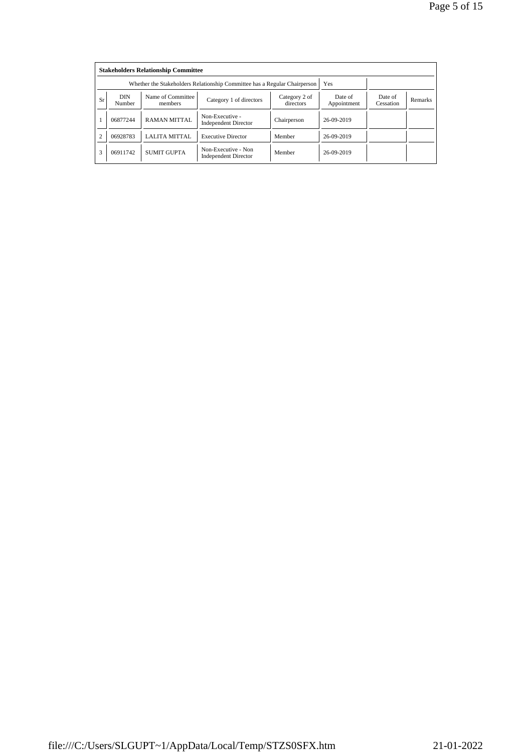|                |                      | Whether the Stakeholders Relationship Committee has a Regular Chairperson |                                                    | Yes                        |                        |                      |                |
|----------------|----------------------|---------------------------------------------------------------------------|----------------------------------------------------|----------------------------|------------------------|----------------------|----------------|
| Sr             | <b>DIN</b><br>Number | Name of Committee<br>members                                              | Category 1 of directors                            | Category 2 of<br>directors | Date of<br>Appointment | Date of<br>Cessation | <b>Remarks</b> |
|                | 06877244             | <b>RAMAN MITTAL</b>                                                       | Non-Executive -<br><b>Independent Director</b>     | Chairperson                | 26-09-2019             |                      |                |
| $\overline{c}$ | 06928783             | <b>LALITA MITTAL</b>                                                      | <b>Executive Director</b>                          | Member                     | 26-09-2019             |                      |                |
| 3              | 06911742             | <b>SUMIT GUPTA</b>                                                        | Non-Executive - Non<br><b>Independent Director</b> | Member                     | 26-09-2019             |                      |                |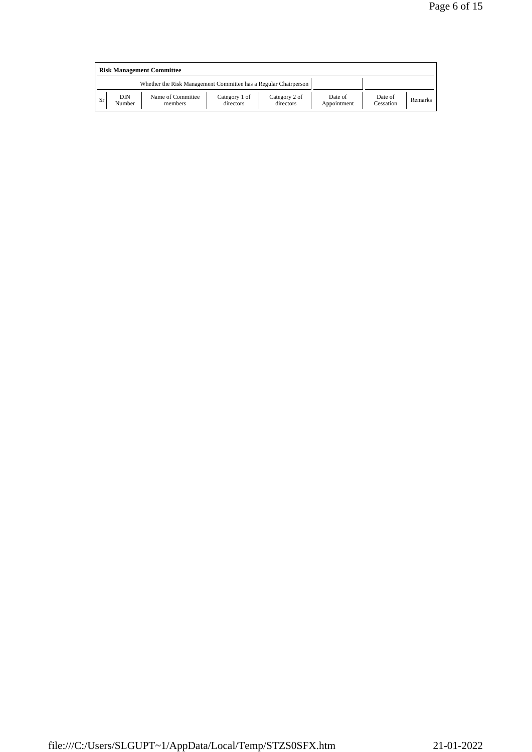| <b>Risk Management Committee</b>                                |               |                              |                            |                            |                        |                      |         |  |  |
|-----------------------------------------------------------------|---------------|------------------------------|----------------------------|----------------------------|------------------------|----------------------|---------|--|--|
| Whether the Risk Management Committee has a Regular Chairperson |               |                              |                            |                            |                        |                      |         |  |  |
| Sr                                                              | DIN<br>Number | Name of Committee<br>members | Category 1 of<br>directors | Category 2 of<br>directors | Date of<br>Appointment | Date of<br>Cessation | Remarks |  |  |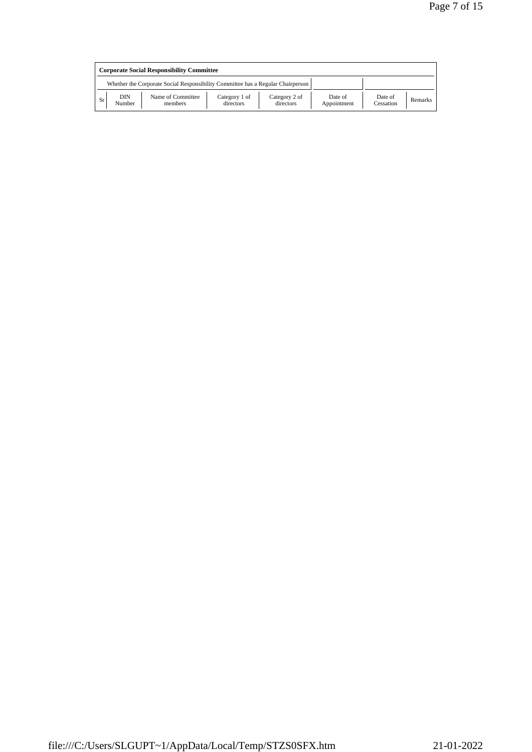| <b>Corporate Social Responsibility Committee</b>                                |               |                              |                            |                            |                        |                      |         |  |
|---------------------------------------------------------------------------------|---------------|------------------------------|----------------------------|----------------------------|------------------------|----------------------|---------|--|
| Whether the Corporate Social Responsibility Committee has a Regular Chairperson |               |                              |                            |                            |                        |                      |         |  |
| <b>Sr</b>                                                                       | DIN<br>Number | Name of Committee<br>members | Category 1 of<br>directors | Category 2 of<br>directors | Date of<br>Appointment | Date of<br>Cessation | Remarks |  |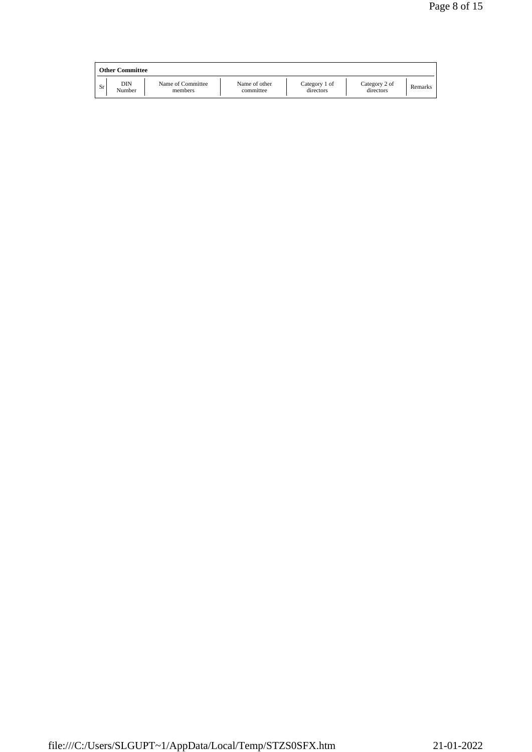|    | <b>Other Committee</b> |                              |                            |                            |                            |         |
|----|------------------------|------------------------------|----------------------------|----------------------------|----------------------------|---------|
| Sr | DIN<br>Number          | Name of Committee<br>members | Name of other<br>committee | Category 1 of<br>directors | Category 2 of<br>directors | Remarks |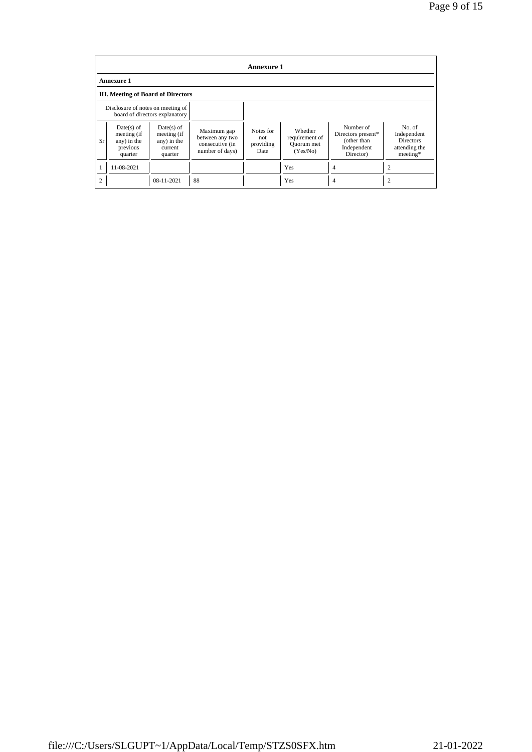|                |                                                                   |                                                                  |                                                                      | <b>Annexure 1</b>                     |                                                     |                                                                            |                                                                        |
|----------------|-------------------------------------------------------------------|------------------------------------------------------------------|----------------------------------------------------------------------|---------------------------------------|-----------------------------------------------------|----------------------------------------------------------------------------|------------------------------------------------------------------------|
|                | <b>Annexure 1</b>                                                 |                                                                  |                                                                      |                                       |                                                     |                                                                            |                                                                        |
|                | III. Meeting of Board of Directors                                |                                                                  |                                                                      |                                       |                                                     |                                                                            |                                                                        |
|                | Disclosure of notes on meeting of                                 | board of directors explanatory                                   |                                                                      |                                       |                                                     |                                                                            |                                                                        |
| Sr             | $Date(s)$ of<br>meeting (if<br>any) in the<br>previous<br>quarter | $Date(s)$ of<br>meeting (if<br>any) in the<br>current<br>quarter | Maximum gap<br>between any two<br>consecutive (in<br>number of days) | Notes for<br>not<br>providing<br>Date | Whether<br>requirement of<br>Quorum met<br>(Yes/No) | Number of<br>Directors present*<br>(other than<br>Independent<br>Director) | No. of<br>Independent<br><b>Directors</b><br>attending the<br>meeting* |
|                | 11-08-2021                                                        |                                                                  |                                                                      |                                       | Yes                                                 | 4                                                                          | ↑                                                                      |
| $\overline{c}$ |                                                                   | 08-11-2021                                                       | 88                                                                   |                                       | Yes                                                 | 4                                                                          |                                                                        |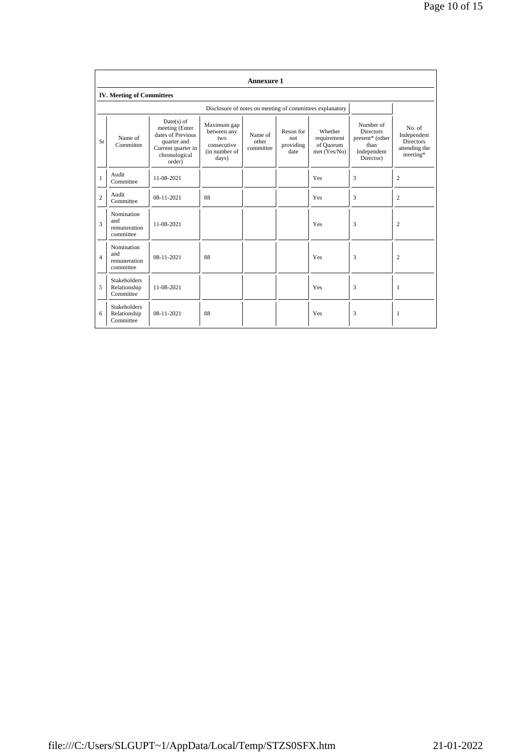|                |                                                  |                                                                                                                     |                                                                            | <b>Annexure 1</b>             |                                       |                                                          |                                                                                      |                                                                        |
|----------------|--------------------------------------------------|---------------------------------------------------------------------------------------------------------------------|----------------------------------------------------------------------------|-------------------------------|---------------------------------------|----------------------------------------------------------|--------------------------------------------------------------------------------------|------------------------------------------------------------------------|
|                | <b>IV. Meeting of Committees</b>                 |                                                                                                                     |                                                                            |                               |                                       |                                                          |                                                                                      |                                                                        |
|                |                                                  |                                                                                                                     |                                                                            |                               |                                       | Disclosure of notes on meeting of committees explanatory |                                                                                      |                                                                        |
| Sr             | Name of<br>Committee                             | $Date(s)$ of<br>meeting (Enter<br>dates of Previous<br>quarter and<br>Current quarter in<br>chronological<br>order) | Maximum gap<br>between any<br>two<br>consecutive<br>(in number of<br>days) | Name of<br>other<br>committee | Reson for<br>not<br>providing<br>date | Whether<br>requirement<br>of Quorum<br>met (Yes/No)      | Number of<br><b>Directors</b><br>present* (other<br>than<br>Independent<br>Director) | No. of<br>Independent<br><b>Directors</b><br>attending the<br>meeting* |
| $\mathbf{1}$   | Audit<br>Committee                               | 11-08-2021                                                                                                          |                                                                            |                               |                                       | Yes                                                      | 3                                                                                    | $\overline{c}$                                                         |
| $\overline{2}$ | Audit<br>Committee                               | 08-11-2021                                                                                                          | 88                                                                         |                               |                                       | Yes                                                      | 3                                                                                    | $\overline{c}$                                                         |
| 3              | Nomination<br>and<br>remuneration<br>committee   | 11-08-2021                                                                                                          |                                                                            |                               |                                       | Yes                                                      | 3                                                                                    | $\overline{c}$                                                         |
| $\overline{4}$ | Nomination<br>and<br>remuneration<br>committee   | $08 - 11 - 2021$                                                                                                    | 88                                                                         |                               |                                       | Yes                                                      | 3                                                                                    | 2                                                                      |
| 5              | <b>Stakeholders</b><br>Relationship<br>Committee | 11-08-2021                                                                                                          |                                                                            |                               |                                       | Yes                                                      | 3                                                                                    | 1                                                                      |
| 6              | <b>Stakeholders</b><br>Relationship<br>Committee | $08 - 11 - 2021$                                                                                                    | 88                                                                         |                               |                                       | Yes                                                      | 3                                                                                    | 1                                                                      |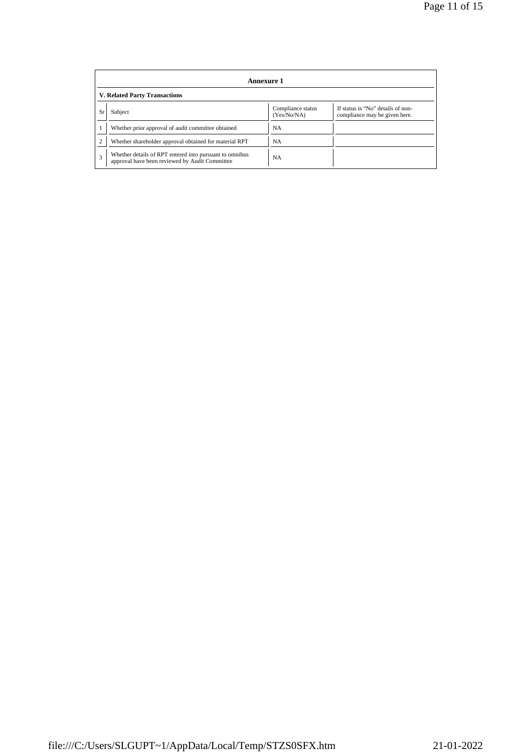|    | Annexure 1                                                                                                |                                  |                                                                    |  |  |  |  |
|----|-----------------------------------------------------------------------------------------------------------|----------------------------------|--------------------------------------------------------------------|--|--|--|--|
|    | <b>V. Related Party Transactions</b>                                                                      |                                  |                                                                    |  |  |  |  |
| Sr | Subject                                                                                                   | Compliance status<br>(Yes/No/NA) | If status is "No" details of non-<br>compliance may be given here. |  |  |  |  |
|    | Whether prior approval of audit committee obtained                                                        | NA                               |                                                                    |  |  |  |  |
|    | Whether shareholder approval obtained for material RPT                                                    | <b>NA</b>                        |                                                                    |  |  |  |  |
| 3  | Whether details of RPT entered into pursuant to omnibus<br>approval have been reviewed by Audit Committee | <b>NA</b>                        |                                                                    |  |  |  |  |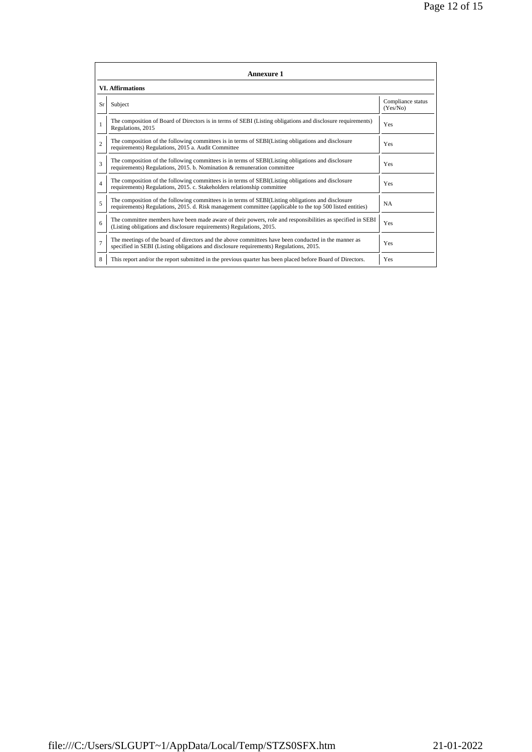| <b>Annexure 1</b> |                                                                                                                                                                                                                 |                               |  |  |  |  |  |
|-------------------|-----------------------------------------------------------------------------------------------------------------------------------------------------------------------------------------------------------------|-------------------------------|--|--|--|--|--|
|                   | <b>VI.</b> Affirmations                                                                                                                                                                                         |                               |  |  |  |  |  |
| Sr                | Subject                                                                                                                                                                                                         | Compliance status<br>(Yes/No) |  |  |  |  |  |
| $\mathbf{1}$      | The composition of Board of Directors is in terms of SEBI (Listing obligations and disclosure requirements)<br>Regulations, 2015                                                                                | Yes                           |  |  |  |  |  |
| $\overline{c}$    | The composition of the following committees is in terms of SEBI(Listing obligations and disclosure<br>requirements) Regulations, 2015 a. Audit Committee                                                        | Yes                           |  |  |  |  |  |
| 3                 | The composition of the following committees is in terms of SEBI(Listing obligations and disclosure<br>requirements) Regulations, 2015. b. Nomination & remuneration committee                                   | Yes                           |  |  |  |  |  |
| $\overline{4}$    | The composition of the following committees is in terms of SEBI(Listing obligations and disclosure<br>requirements) Regulations, 2015. c. Stakeholders relationship committee                                   | Yes                           |  |  |  |  |  |
| 5                 | The composition of the following committees is in terms of SEBI(Listing obligations and disclosure<br>requirements) Regulations, 2015. d. Risk management committee (applicable to the top 500 listed entities) | <b>NA</b>                     |  |  |  |  |  |
| 6                 | The committee members have been made aware of their powers, role and responsibilities as specified in SEBI<br>(Listing obligations and disclosure requirements) Regulations, 2015.                              | Yes                           |  |  |  |  |  |
| $\overline{7}$    | The meetings of the board of directors and the above committees have been conducted in the manner as<br>specified in SEBI (Listing obligations and disclosure requirements) Regulations, 2015.                  | Yes                           |  |  |  |  |  |
| 8                 | This report and/or the report submitted in the previous quarter has been placed before Board of Directors.                                                                                                      | Yes                           |  |  |  |  |  |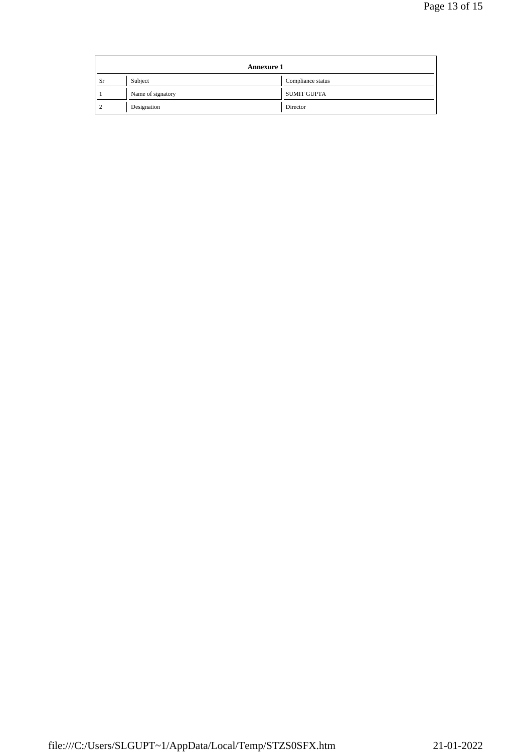| <b>Annexure 1</b> |                   |                    |
|-------------------|-------------------|--------------------|
| Sr                | Subject           | Compliance status  |
|                   | Name of signatory | <b>SUMIT GUPTA</b> |
|                   | Designation       | Director           |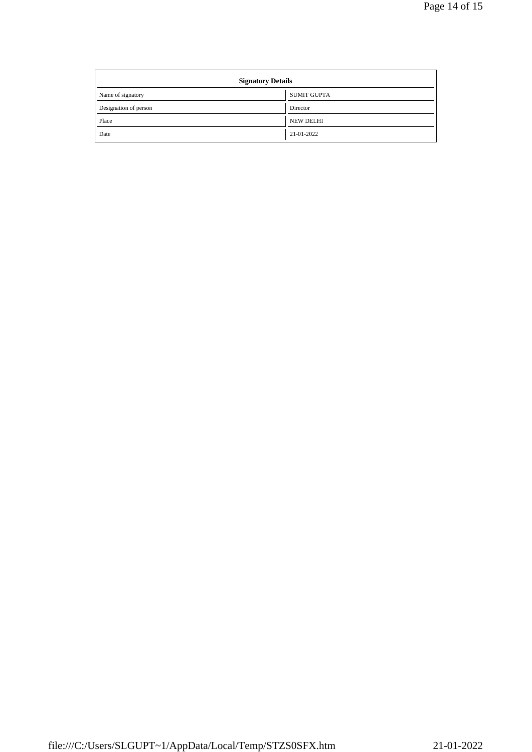| <b>Signatory Details</b> |                  |  |
|--------------------------|------------------|--|
| Name of signatory        | SUMIT GUPTA      |  |
| Designation of person    | Director         |  |
| Place                    | <b>NEW DELHI</b> |  |
| Date                     | 21-01-2022       |  |